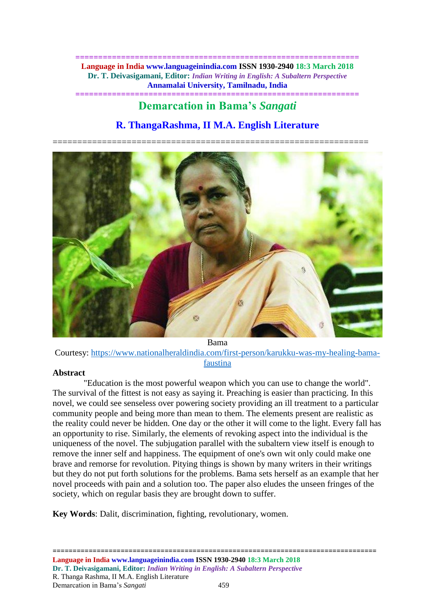**============================================================== Language in India www.languageinindia.com ISSN 1930-2940 18:3 March 2018 Dr. T. Deivasigamani, Editor:** *Indian Writing in English: A Subaltern Perspective* **Annamalai University, Tamilnadu, India ==============================================================**

# **Demarcation in Bama's** *Sangati*

## **R. ThangaRashma, II M.A. English Literature**

================================================================



Bama

Courtesy: [https://www.nationalheraldindia.com/first-person/karukku-was-my-healing-bama](https://www.nationalheraldindia.com/first-person/karukku-was-my-healing-bama-faustina)[faustina](https://www.nationalheraldindia.com/first-person/karukku-was-my-healing-bama-faustina)

#### **Abstract**

"Education is the most powerful weapon which you can use to change the world". The survival of the fittest is not easy as saying it. Preaching is easier than practicing. In this novel, we could see senseless over powering society providing an ill treatment to a particular community people and being more than mean to them. The elements present are realistic as the reality could never be hidden. One day or the other it will come to the light. Every fall has an opportunity to rise. Similarly, the elements of revoking aspect into the individual is the uniqueness of the novel. The subjugation parallel with the subaltern view itself is enough to remove the inner self and happiness. The equipment of one's own wit only could make one brave and remorse for revolution. Pitying things is shown by many writers in their writings but they do not put forth solutions for the problems. Bama sets herself as an example that her novel proceeds with pain and a solution too. The paper also eludes the unseen fringes of the society, which on regular basis they are brought down to suffer.

**Key Words**: Dalit, discrimination, fighting, revolutionary, women.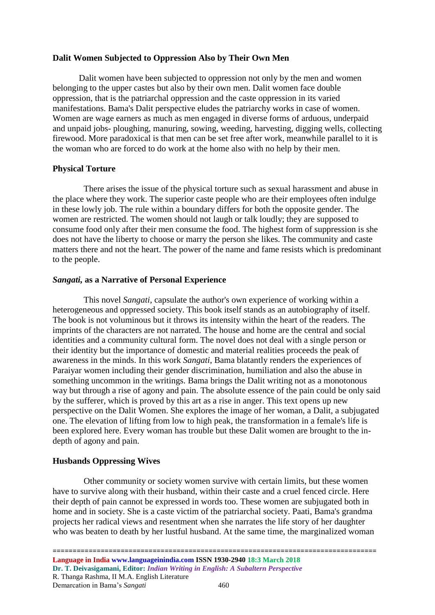#### **Dalit Women Subjected to Oppression Also by Their Own Men**

Dalit women have been subjected to oppression not only by the men and women belonging to the upper castes but also by their own men. Dalit women face double oppression, that is the patriarchal oppression and the caste oppression in its varied manifestations. Bama's Dalit perspective eludes the patriarchy works in case of women. Women are wage earners as much as men engaged in diverse forms of arduous, underpaid and unpaid jobs- ploughing, manuring, sowing, weeding, harvesting, digging wells, collecting firewood. More paradoxical is that men can be set free after work, meanwhile parallel to it is the woman who are forced to do work at the home also with no help by their men.

#### **Physical Torture**

There arises the issue of the physical torture such as sexual harassment and abuse in the place where they work. The superior caste people who are their employees often indulge in these lowly job. The rule within a boundary differs for both the opposite gender. The women are restricted. The women should not laugh or talk loudly; they are supposed to consume food only after their men consume the food. The highest form of suppression is she does not have the liberty to choose or marry the person she likes. The community and caste matters there and not the heart. The power of the name and fame resists which is predominant to the people.

#### *Sangati,* **as a Narrative of Personal Experience**

This novel *Sangati*, capsulate the author's own experience of working within a heterogeneous and oppressed society. This book itself stands as an autobiography of itself. The book is not voluminous but it throws its intensity within the heart of the readers. The imprints of the characters are not narrated. The house and home are the central and social identities and a community cultural form. The novel does not deal with a single person or their identity but the importance of domestic and material realities proceeds the peak of awareness in the minds. In this work *Sangati*, Bama blatantly renders the experiences of Paraiyar women including their gender discrimination, humiliation and also the abuse in something uncommon in the writings. Bama brings the Dalit writing not as a monotonous way but through a rise of agony and pain. The absolute essence of the pain could be only said by the sufferer, which is proved by this art as a rise in anger. This text opens up new perspective on the Dalit Women. She explores the image of her woman, a Dalit, a subjugated one. The elevation of lifting from low to high peak, the transformation in a female's life is been explored here. Every woman has trouble but these Dalit women are brought to the indepth of agony and pain.

#### **Husbands Oppressing Wives**

Other community or society women survive with certain limits, but these women have to survive along with their husband, within their caste and a cruel fenced circle. Here their depth of pain cannot be expressed in words too. These women are subjugated both in home and in society. She is a caste victim of the patriarchal society. Paati, Bama's grandma projects her radical views and resentment when she narrates the life story of her daughter who was beaten to death by her lustful husband. At the same time, the marginalized woman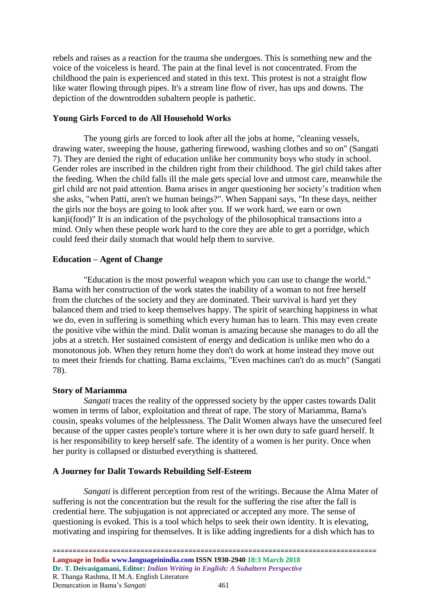rebels and raises as a reaction for the trauma she undergoes. This is something new and the voice of the voiceless is heard. The pain at the final level is not concentrated. From the childhood the pain is experienced and stated in this text. This protest is not a straight flow like water flowing through pipes. It's a stream line flow of river, has ups and downs. The depiction of the downtrodden subaltern people is pathetic.

#### **Young Girls Forced to do All Household Works**

The young girls are forced to look after all the jobs at home, "cleaning vessels, drawing water, sweeping the house, gathering firewood, washing clothes and so on" (Sangati 7). They are denied the right of education unlike her community boys who study in school. Gender roles are inscribed in the children right from their childhood. The girl child takes after the feeding. When the child falls ill the male gets special love and utmost care, meanwhile the girl child are not paid attention. Bama arises in anger questioning her society's tradition when she asks, "when Patti, aren't we human beings?". When Sappani says, "In these days, neither the girls nor the boys are going to look after you. If we work hard, we earn or own kanji(food)" It is an indication of the psychology of the philosophical transactions into a mind. Only when these people work hard to the core they are able to get a porridge, which could feed their daily stomach that would help them to survive.

#### **Education – Agent of Change**

"Education is the most powerful weapon which you can use to change the world." Bama with her construction of the work states the inability of a woman to not free herself from the clutches of the society and they are dominated. Their survival is hard yet they balanced them and tried to keep themselves happy. The spirit of searching happiness in what we do, even in suffering is something which every human has to learn. This may even create the positive vibe within the mind. Dalit woman is amazing because she manages to do all the jobs at a stretch. Her sustained consistent of energy and dedication is unlike men who do a monotonous job. When they return home they don't do work at home instead they move out to meet their friends for chatting. Bama exclaims, "Even machines can't do as much" (Sangati 78).

#### **Story of Mariamma**

*Sangati* traces the reality of the oppressed society by the upper castes towards Dalit women in terms of labor, exploitation and threat of rape. The story of Mariamma, Bama's cousin, speaks volumes of the helplessness. The Dalit Women always have the unsecured feel because of the upper castes people's torture where it is her own duty to safe guard herself. It is her responsibility to keep herself safe. The identity of a women is her purity. Once when her purity is collapsed or disturbed everything is shattered.

#### **A Journey for Dalit Towards Rebuilding Self-Esteem**

*Sangati* is different perception from rest of the writings. Because the Alma Mater of suffering is not the concentration but the result for the suffering the rise after the fall is credential here. The subjugation is not appreciated or accepted any more. The sense of questioning is evoked. This is a tool which helps to seek their own identity. It is elevating, motivating and inspiring for themselves. It is like adding ingredients for a dish which has to